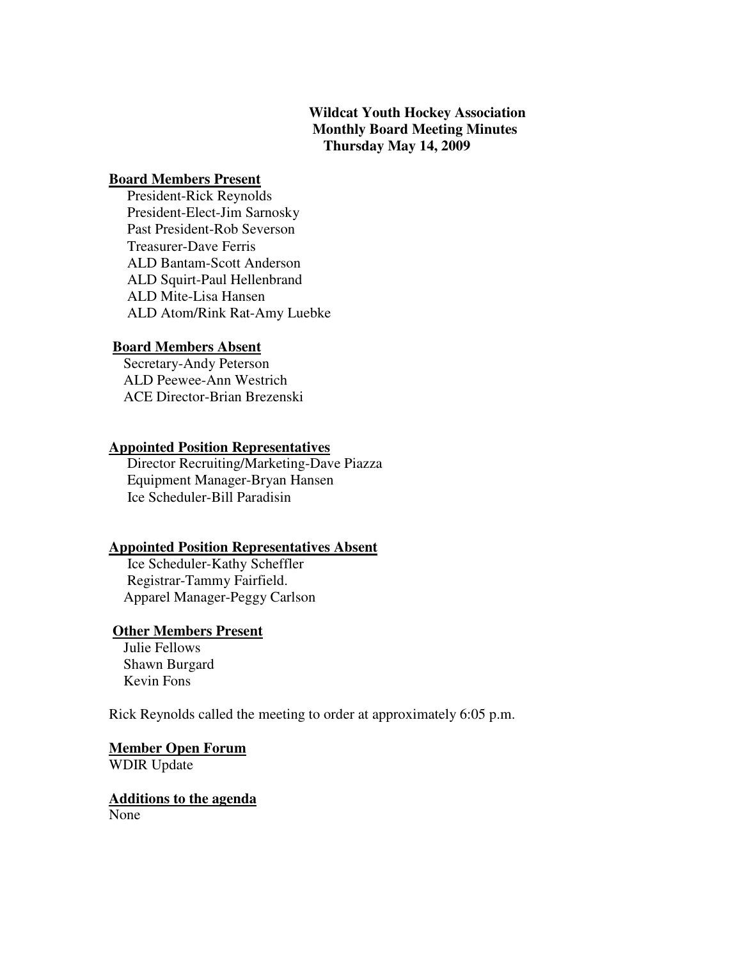# **Wildcat Youth Hockey Association Monthly Board Meeting Minutes Thursday May 14, 2009**

#### **Board Members Present**

 President-Rick Reynolds President-Elect-Jim Sarnosky Past President-Rob Severson Treasurer-Dave Ferris ALD Bantam-Scott Anderson ALD Squirt-Paul Hellenbrand ALD Mite-Lisa Hansen ALD Atom/Rink Rat-Amy Luebke

#### **Board Members Absent**

 Secretary-Andy Peterson ALD Peewee-Ann Westrich ACE Director-Brian Brezenski

#### **Appointed Position Representatives**

 Director Recruiting/Marketing-Dave Piazza Equipment Manager-Bryan Hansen Ice Scheduler-Bill Paradisin

#### **Appointed Position Representatives Absent**

 Ice Scheduler-Kathy Scheffler Registrar-Tammy Fairfield. Apparel Manager-Peggy Carlson

# **Other Members Present**

 Julie Fellows Shawn Burgard Kevin Fons

Rick Reynolds called the meeting to order at approximately 6:05 p.m.

**Member Open Forum** WDIR Update

**Additions to the agenda** None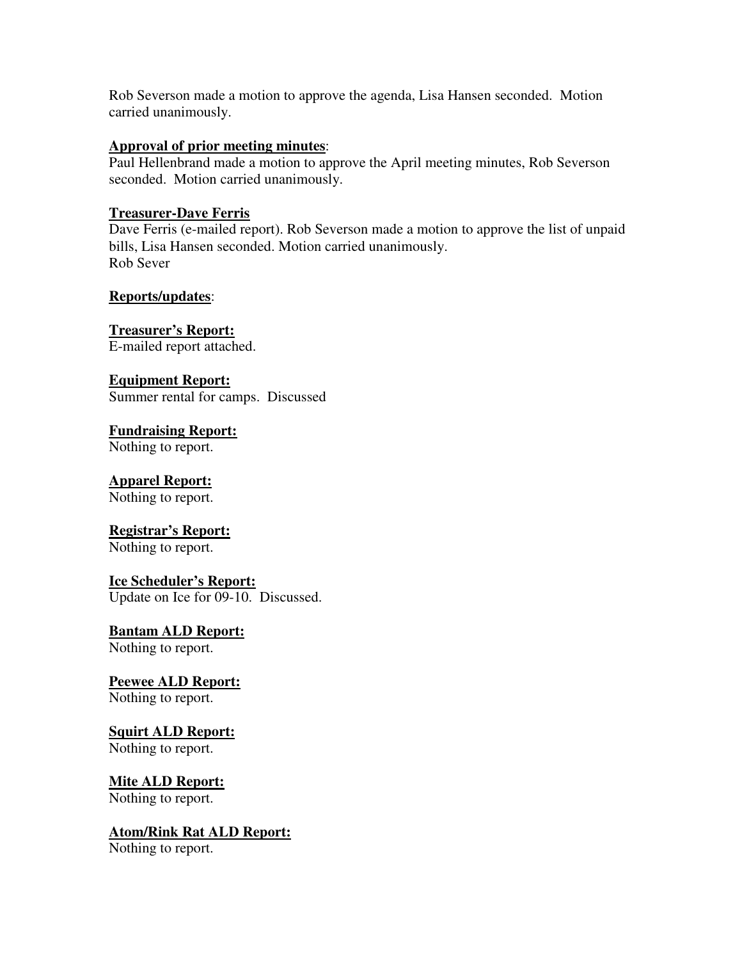Rob Severson made a motion to approve the agenda, Lisa Hansen seconded. Motion carried unanimously.

### **Approval of prior meeting minutes**:

Paul Hellenbrand made a motion to approve the April meeting minutes, Rob Severson seconded. Motion carried unanimously.

## **Treasurer-Dave Ferris**

Dave Ferris (e-mailed report). Rob Severson made a motion to approve the list of unpaid bills, Lisa Hansen seconded. Motion carried unanimously. Rob Sever

# **Reports/updates**:

**Treasurer's Report:** E-mailed report attached.

**Equipment Report:** Summer rental for camps. Discussed

**Fundraising Report:** Nothing to report.

# **Apparel Report:**

Nothing to report.

# **Registrar's Report:**

Nothing to report.

## **Ice Scheduler's Report:**

Update on Ice for 09-10. Discussed.

### **Bantam ALD Report:** Nothing to report.

**Peewee ALD Report:**

# Nothing to report.

# **Squirt ALD Report:**

Nothing to report.

# **Mite ALD Report:**

Nothing to report.

# **Atom/Rink Rat ALD Report:**

Nothing to report.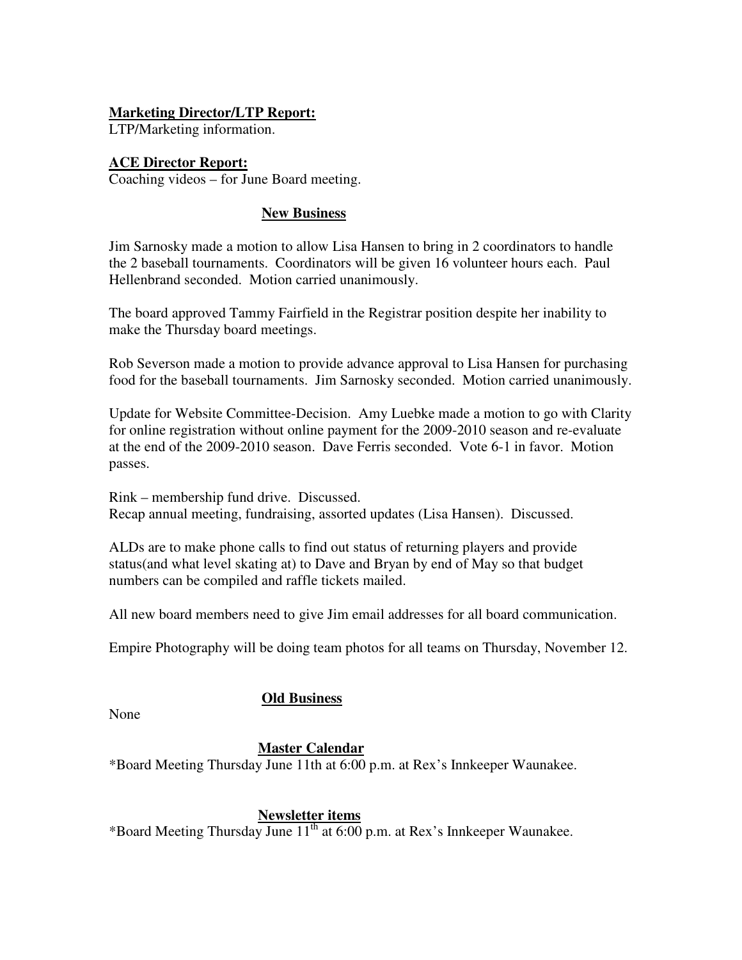# **Marketing Director/LTP Report:**

LTP/Marketing information.

# **ACE Director Report:**

Coaching videos – for June Board meeting.

# **New Business**

Jim Sarnosky made a motion to allow Lisa Hansen to bring in 2 coordinators to handle the 2 baseball tournaments. Coordinators will be given 16 volunteer hours each. Paul Hellenbrand seconded. Motion carried unanimously.

The board approved Tammy Fairfield in the Registrar position despite her inability to make the Thursday board meetings.

Rob Severson made a motion to provide advance approval to Lisa Hansen for purchasing food for the baseball tournaments. Jim Sarnosky seconded. Motion carried unanimously.

Update for Website Committee-Decision. Amy Luebke made a motion to go with Clarity for online registration without online payment for the 2009-2010 season and re-evaluate at the end of the 2009-2010 season. Dave Ferris seconded. Vote 6-1 in favor. Motion passes.

Rink – membership fund drive. Discussed. Recap annual meeting, fundraising, assorted updates (Lisa Hansen). Discussed.

ALDs are to make phone calls to find out status of returning players and provide status(and what level skating at) to Dave and Bryan by end of May so that budget numbers can be compiled and raffle tickets mailed.

All new board members need to give Jim email addresses for all board communication.

Empire Photography will be doing team photos for all teams on Thursday, November 12.

## **Old Business**

None

## **Master Calendar**

\*Board Meeting Thursday June 11th at 6:00 p.m. at Rex's Innkeeper Waunakee.

## **Newsletter items**

\*Board Meeting Thursday June 11<sup>th</sup> at 6:00 p.m. at Rex's Innkeeper Waunakee.